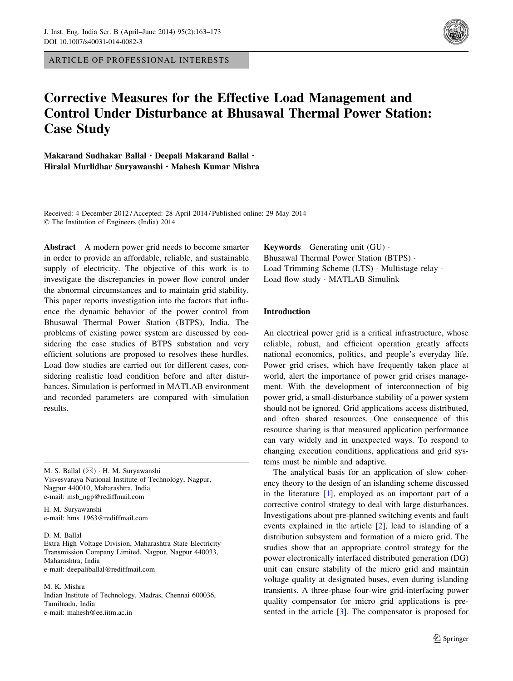ARTICLE OF PROFESSIONAL INTERESTS



# Corrective Measures for the Effective Load Management and Control Under Disturbance at Bhusawal Thermal Power Station: Case Study

Makarand Sudhakar Ballal · Deepali Makarand Ballal · Hiralal Murlidhar Suryawanshi · Mahesh Kumar Mishra

Received: 4 December 2012 / Accepted: 28 April 2014 / Published online: 29 May 2014 © The Institution of Engineers (India) 2014

Abstract A modern power grid needs to become smarter in order to provide an affordable, reliable, and sustainable supply of electricity. The objective of this work is to investigate the discrepancies in power flow control under the abnormal circumstances and to maintain grid stability. This paper reports investigation into the factors that influence the dynamic behavior of the power control from Bhusawal Thermal Power Station (BTPS), India. The problems of existing power system are discussed by considering the case studies of BTPS substation and very efficient solutions are proposed to resolves these hurdles. Load flow studies are carried out for different cases, considering realistic load condition before and after disturbances. Simulation is performed in MATLAB environment and recorded parameters are compared with simulation results.

M. S. Ballal ( $\boxtimes$ ) · H. M. Suryawanshi Visvesvaraya National Institute of Technology, Nagpur, Nagpur 440010, Maharashtra, India e-mail: msb\_ngp@rediffmail.com

H. M. Suryawanshi e-mail: hms\_1963@rediffmail.com

D. M. Ballal

Extra High Voltage Division, Maharashtra State Electricity Transmission Company Limited, Nagpur, Nagpur 440033, Maharashtra, India e-mail: deepaliballal@rediffmail.com

M. K. Mishra Indian Institute of Technology, Madras, Chennai 600036, Tamilnadu, India e-mail: mahesh@ee.iitm.ac.in

**Keywords** Generating unit  $(GU)$ . Bhusawal Thermal Power Station (BTPS) · Load Trimming Scheme (LTS) · Multistage relay · Load flow study · MATLAB Simulink

## Introduction

An electrical power grid is a critical infrastructure, whose reliable, robust, and efficient operation greatly affects national economics, politics, and people's everyday life. Power grid crises, which have frequently taken place at world, alert the importance of power grid crises management. With the development of interconnection of big power grid, a small-disturbance stability of a power system should not be ignored. Grid applications access distributed, and often shared resources. One consequence of this resource sharing is that measured application performance can vary widely and in unexpected ways. To respond to changing execution conditions, applications and grid systems must be nimble and adaptive.

The analytical basis for an application of slow coherency theory to the design of an islanding scheme discussed in the literature [[1\]](#page-10-0), employed as an important part of a corrective control strategy to deal with large disturbances. Investigations about pre-planned switching events and fault events explained in the article [\[2](#page-10-0)], lead to islanding of a distribution subsystem and formation of a micro grid. The studies show that an appropriate control strategy for the power electronically interfaced distributed generation (DG) unit can ensure stability of the micro grid and maintain voltage quality at designated buses, even during islanding transients. A three-phase four-wire grid-interfacing power quality compensator for micro grid applications is presented in the article [\[3](#page-10-0)]. The compensator is proposed for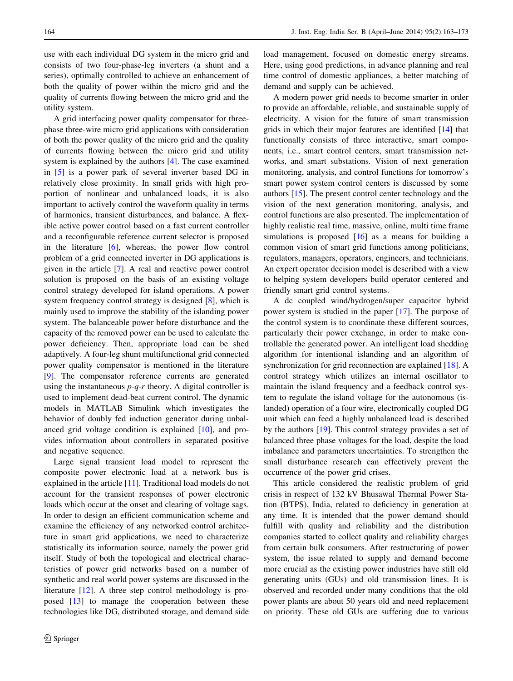use with each individual DG system in the micro grid and consists of two four-phase-leg inverters (a shunt and a series), optimally controlled to achieve an enhancement of both the quality of power within the micro grid and the quality of currents flowing between the micro grid and the utility system.

A grid interfacing power quality compensator for threephase three-wire micro grid applications with consideration of both the power quality of the micro grid and the quality of currents flowing between the micro grid and utility system is explained by the authors [\[4](#page-10-0)]. The case examined in [[5\]](#page-10-0) is a power park of several inverter based DG in relatively close proximity. In small grids with high proportion of nonlinear and unbalanced loads, it is also important to actively control the waveform quality in terms of harmonics, transient disturbances, and balance. A flexible active power control based on a fast current controller and a reconfigurable reference current selector is proposed in the literature [\[6](#page-10-0)], whereas, the power flow control problem of a grid connected inverter in DG applications is given in the article [[7\]](#page-10-0). A real and reactive power control solution is proposed on the basis of an existing voltage control strategy developed for island operations. A power system frequency control strategy is designed [[8\]](#page-10-0), which is mainly used to improve the stability of the islanding power system. The balanceable power before disturbance and the capacity of the removed power can be used to calculate the power deficiency. Then, appropriate load can be shed adaptively. A four-leg shunt multifunctional grid connected power quality compensator is mentioned in the literature [\[9](#page-10-0)]. The compensator reference currents are generated using the instantaneous  $p-q-r$  theory. A digital controller is used to implement dead-beat current control. The dynamic models in MATLAB Simulink which investigates the behavior of doubly fed induction generator during unbalanced grid voltage condition is explained [\[10](#page-10-0)], and provides information about controllers in separated positive and negative sequence.

Large signal transient load model to represent the composite power electronic load at a network bus is explained in the article [[11](#page-10-0)]. Traditional load models do not account for the transient responses of power electronic loads which occur at the onset and clearing of voltage sags. In order to design an efficient communication scheme and examine the efficiency of any networked control architecture in smart grid applications, we need to characterize statistically its information source, namely the power grid itself. Study of both the topological and electrical characteristics of power grid networks based on a number of synthetic and real world power systems are discussed in the literature [[12\]](#page-10-0). A three step control methodology is proposed [\[13](#page-10-0)] to manage the cooperation between these technologies like DG, distributed storage, and demand side load management, focused on domestic energy streams. Here, using good predictions, in advance planning and real time control of domestic appliances, a better matching of demand and supply can be achieved.

A modern power grid needs to become smarter in order to provide an affordable, reliable, and sustainable supply of electricity. A vision for the future of smart transmission grids in which their major features are identified [\[14](#page-10-0)] that functionally consists of three interactive, smart components, i.e., smart control centers, smart transmission networks, and smart substations. Vision of next generation monitoring, analysis, and control functions for tomorrow's smart power system control centers is discussed by some authors [[15](#page-10-0)]. The present control center technology and the vision of the next generation monitoring, analysis, and control functions are also presented. The implementation of highly realistic real time, massive, online, multi time frame simulations is proposed [[16\]](#page-10-0) as a means for building a common vision of smart grid functions among politicians, regulators, managers, operators, engineers, and technicians. An expert operator decision model is described with a view to helping system developers build operator centered and friendly smart grid control systems.

A dc coupled wind/hydrogen/super capacitor hybrid power system is studied in the paper [\[17](#page-10-0)]. The purpose of the control system is to coordinate these different sources, particularly their power exchange, in order to make controllable the generated power. An intelligent load shedding algorithm for intentional islanding and an algorithm of synchronization for grid reconnection are explained [[18\]](#page-10-0). A control strategy which utilizes an internal oscillator to maintain the island frequency and a feedback control system to regulate the island voltage for the autonomous (islanded) operation of a four wire, electronically coupled DG unit which can feed a highly unbalanced load is described by the authors [\[19](#page-10-0)]. This control strategy provides a set of balanced three phase voltages for the load, despite the load imbalance and parameters uncertainties. To strengthen the small disturbance research can effectively prevent the occurrence of the power grid crises.

This article considered the realistic problem of grid crisis in respect of 132 kV Bhusawal Thermal Power Station (BTPS), India, related to deficiency in generation at any time. It is intended that the power demand should fulfill with quality and reliability and the distribution companies started to collect quality and reliability charges from certain bulk consumers. After restructuring of power system, the issue related to supply and demand become more crucial as the existing power industries have still old generating units (GUs) and old transmission lines. It is observed and recorded under many conditions that the old power plants are about 50 years old and need replacement on priority. These old GUs are suffering due to various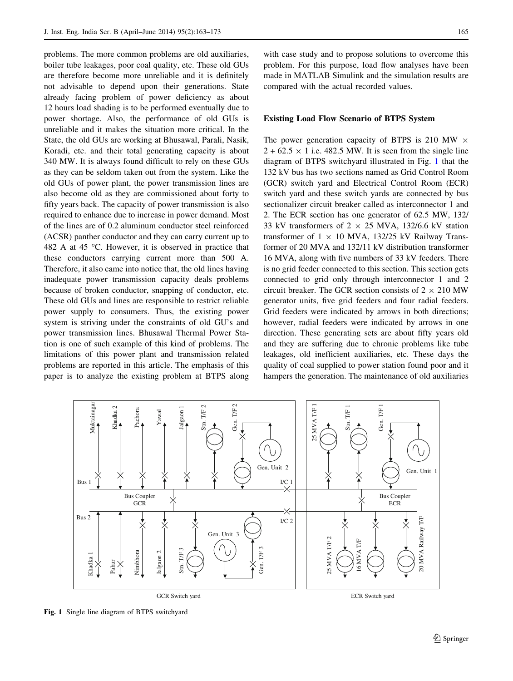<span id="page-2-0"></span>problems. The more common problems are old auxiliaries, boiler tube leakages, poor coal quality, etc. These old GUs are therefore become more unreliable and it is definitely not advisable to depend upon their generations. State already facing problem of power deficiency as about 12 hours load shading is to be performed eventually due to power shortage. Also, the performance of old GUs is unreliable and it makes the situation more critical. In the State, the old GUs are working at Bhusawal, Parali, Nasik, Koradi, etc. and their total generating capacity is about 340 MW. It is always found difficult to rely on these GUs as they can be seldom taken out from the system. Like the old GUs of power plant, the power transmission lines are also become old as they are commissioned about forty to fifty years back. The capacity of power transmission is also required to enhance due to increase in power demand. Most of the lines are of 0.2 aluminum conductor steel reinforced (ACSR) panther conductor and they can carry current up to 482 A at 45 °C. However, it is observed in practice that these conductors carrying current more than 500 A. Therefore, it also came into notice that, the old lines having inadequate power transmission capacity deals problems because of broken conductor, snapping of conductor, etc. These old GUs and lines are responsible to restrict reliable power supply to consumers. Thus, the existing power system is striving under the constraints of old GU's and power transmission lines. Bhusawal Thermal Power Station is one of such example of this kind of problems. The limitations of this power plant and transmission related problems are reported in this article. The emphasis of this paper is to analyze the existing problem at BTPS along

with case study and to propose solutions to overcome this problem. For this purpose, load flow analyses have been made in MATLAB Simulink and the simulation results are compared with the actual recorded values.

## Existing Load Flow Scenario of BTPS System

The power generation capacity of BTPS is 210 MW  $\times$  $2 + 62.5 \times 1$  i.e. 482.5 MW. It is seen from the single line diagram of BTPS switchyard illustrated in Fig. 1 that the 132 kV bus has two sections named as Grid Control Room (GCR) switch yard and Electrical Control Room (ECR) switch yard and these switch yards are connected by bus sectionalizer circuit breaker called as interconnector 1 and 2. The ECR section has one generator of 62.5 MW, 132/ 33 kV transformers of  $2 \times 25$  MVA, 132/6.6 kV station transformer of  $1 \times 10$  MVA, 132/25 kV Railway Transformer of 20 MVA and 132/11 kV distribution transformer 16 MVA, along with five numbers of 33 kV feeders. There is no grid feeder connected to this section. This section gets connected to grid only through interconnector 1 and 2 circuit breaker. The GCR section consists of  $2 \times 210$  MW generator units, five grid feeders and four radial feeders. Grid feeders were indicated by arrows in both directions; however, radial feeders were indicated by arrows in one direction. These generating sets are about fifty years old and they are suffering due to chronic problems like tube leakages, old inefficient auxiliaries, etc. These days the quality of coal supplied to power station found poor and it hampers the generation. The maintenance of old auxiliaries



Fig. 1 Single line diagram of BTPS switchyard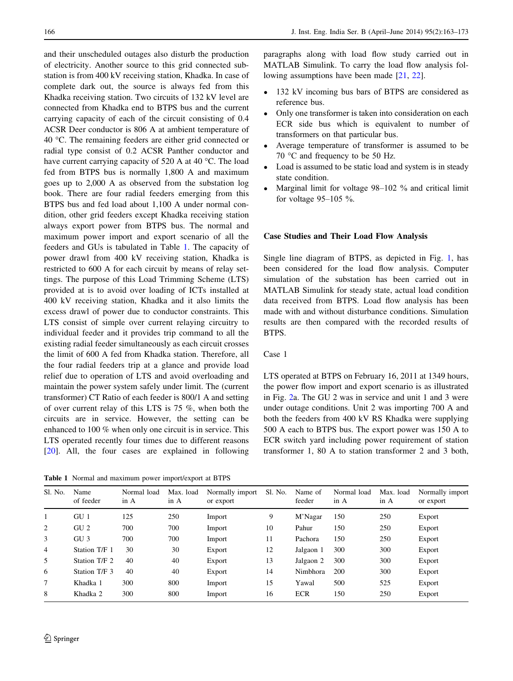and their unscheduled outages also disturb the production of electricity. Another source to this grid connected substation is from 400 kV receiving station, Khadka. In case of complete dark out, the source is always fed from this Khadka receiving station. Two circuits of 132 kV level are connected from Khadka end to BTPS bus and the current carrying capacity of each of the circuit consisting of 0.4 ACSR Deer conductor is 806 A at ambient temperature of 40 °C. The remaining feeders are either grid connected or radial type consist of 0.2 ACSR Panther conductor and have current carrying capacity of 520 A at 40 °C. The load fed from BTPS bus is normally 1,800 A and maximum goes up to 2,000 A as observed from the substation log book. There are four radial feeders emerging from this BTPS bus and fed load about 1,100 A under normal condition, other grid feeders except Khadka receiving station always export power from BTPS bus. The normal and maximum power import and export scenario of all the feeders and GUs is tabulated in Table 1. The capacity of power drawl from 400 kV receiving station, Khadka is restricted to 600 A for each circuit by means of relay settings. The purpose of this Load Trimming Scheme (LTS) provided at is to avoid over loading of ICTs installed at 400 kV receiving station, Khadka and it also limits the excess drawl of power due to conductor constraints. This LTS consist of simple over current relaying circuitry to individual feeder and it provides trip command to all the existing radial feeder simultaneously as each circuit crosses the limit of 600 A fed from Khadka station. Therefore, all the four radial feeders trip at a glance and provide load relief due to operation of LTS and avoid overloading and maintain the power system safely under limit. The (current transformer) CT Ratio of each feeder is 800/1 A and setting of over current relay of this LTS is 75 %, when both the circuits are in service. However, the setting can be enhanced to 100 % when only one circuit is in service. This LTS operated recently four times due to different reasons [\[20](#page-10-0)]. All, the four cases are explained in following

Table 1 Normal and maximum power import/export at BTPS

paragraphs along with load flow study carried out in MATLAB Simulink. To carry the load flow analysis fol-lowing assumptions have been made [[21,](#page-10-0) [22\]](#page-10-0).

- 132 kV incoming bus bars of BTPS are considered as reference bus.
- Only one transformer is taken into consideration on each ECR side bus which is equivalent to number of transformers on that particular bus.
- Average temperature of transformer is assumed to be 70 °C and frequency to be 50 Hz.
- Load is assumed to be static load and system is in steady state condition.
- Marginal limit for voltage 98–102 % and critical limit for voltage  $95-105$  %.

### Case Studies and Their Load Flow Analysis

Single line diagram of BTPS, as depicted in Fig. [1](#page-2-0), has been considered for the load flow analysis. Computer simulation of the substation has been carried out in MATLAB Simulink for steady state, actual load condition data received from BTPS. Load flow analysis has been made with and without disturbance conditions. Simulation results are then compared with the recorded results of BTPS.

## Case 1

LTS operated at BTPS on February 16, 2011 at 1349 hours, the power flow import and export scenario is as illustrated in Fig. [2a](#page-4-0). The GU 2 was in service and unit 1 and 3 were under outage conditions. Unit 2 was importing 700 A and both the feeders from 400 kV RS Khadka were supplying 500 A each to BTPS bus. The export power was 150 A to ECR switch yard including power requirement of station transformer 1, 80 A to station transformer 2 and 3 both,

| Sl. No. | Name<br>of feeder | Normal load<br>in A | Max. load<br>in A | Normally import<br>or export | Sl. No. | Name of<br>feeder | Normal load<br>in A | Max. load<br>in A | Normally import<br>or export |
|---------|-------------------|---------------------|-------------------|------------------------------|---------|-------------------|---------------------|-------------------|------------------------------|
| 1       | GU <sub>1</sub>   | 125                 | 250               | Import                       | 9       | M'Nagar           | 150                 | 250               | Export                       |
| 2       | GU <sub>2</sub>   | 700                 | 700               | Import                       | 10      | Pahur             | 150                 | 250               | Export                       |
| 3       | GU <sub>3</sub>   | 700                 | 700               | Import                       | 11      | Pachora           | 150                 | 250               | Export                       |
| 4       | Station T/F 1     | 30                  | 30                | Export                       | 12      | Jalgaon 1         | 300                 | 300               | Export                       |
| 5       | Station T/F 2     | 40                  | 40                | Export                       | 13      | Jalgaon 2         | 300                 | 300               | Export                       |
| 6       | Station T/F 3     | 40                  | 40                | Export                       | 14      | Nimbhora          | 200                 | 300               | Export                       |
| 7       | Khadka 1          | 300                 | 800               | Import                       | 15      | Yawal             | 500                 | 525               | Export                       |
| 8       | Khadka 2          | 300                 | 800               | Import                       | 16      | <b>ECR</b>        | 150                 | 250               | Export                       |
|         |                   |                     |                   |                              |         |                   |                     |                   |                              |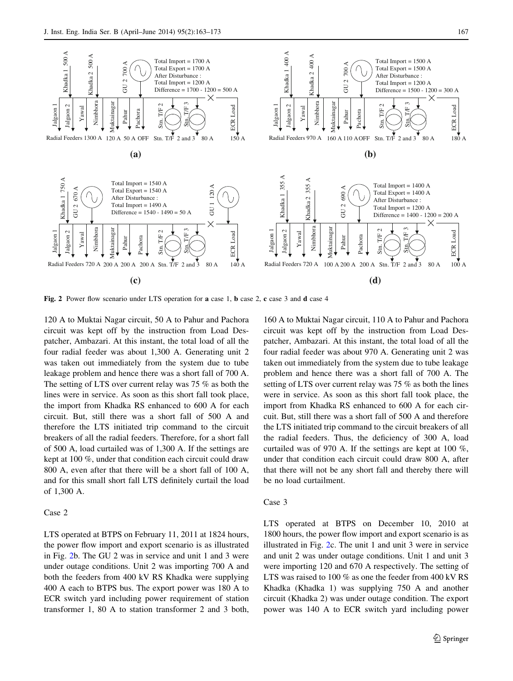<span id="page-4-0"></span>

Fig. 2 Power flow scenario under LTS operation for a case 1, b case 2, c case 3 and d case 4

120 A to Muktai Nagar circuit, 50 A to Pahur and Pachora circuit was kept off by the instruction from Load Despatcher, Ambazari. At this instant, the total load of all the four radial feeder was about 1,300 A. Generating unit 2 was taken out immediately from the system due to tube leakage problem and hence there was a short fall of 700 A. The setting of LTS over current relay was 75 % as both the lines were in service. As soon as this short fall took place, the import from Khadka RS enhanced to 600 A for each circuit. But, still there was a short fall of 500 A and therefore the LTS initiated trip command to the circuit breakers of all the radial feeders. Therefore, for a short fall of 500 A, load curtailed was of 1,300 A. If the settings are kept at 100 %, under that condition each circuit could draw 800 A, even after that there will be a short fall of 100 A, and for this small short fall LTS definitely curtail the load of 1,300 A.

## Case 2

LTS operated at BTPS on February 11, 2011 at 1824 hours, the power flow import and export scenario is as illustrated in Fig. 2b. The GU 2 was in service and unit 1 and 3 were under outage conditions. Unit 2 was importing 700 A and both the feeders from 400 kV RS Khadka were supplying 400 A each to BTPS bus. The export power was 180 A to ECR switch yard including power requirement of station transformer 1, 80 A to station transformer 2 and 3 both,

160 A to Muktai Nagar circuit, 110 A to Pahur and Pachora circuit was kept off by the instruction from Load Despatcher, Ambazari. At this instant, the total load of all the four radial feeder was about 970 A. Generating unit 2 was taken out immediately from the system due to tube leakage problem and hence there was a short fall of 700 A. The setting of LTS over current relay was 75 % as both the lines were in service. As soon as this short fall took place, the import from Khadka RS enhanced to 600 A for each circuit. But, still there was a short fall of 500 A and therefore the LTS initiated trip command to the circuit breakers of all the radial feeders. Thus, the deficiency of 300 A, load curtailed was of 970 A. If the settings are kept at 100 %, under that condition each circuit could draw 800 A, after that there will not be any short fall and thereby there will be no load curtailment.

## Case 3

LTS operated at BTPS on December 10, 2010 at 1800 hours, the power flow import and export scenario is as illustrated in Fig. 2c. The unit 1 and unit 3 were in service and unit 2 was under outage conditions. Unit 1 and unit 3 were importing 120 and 670 A respectively. The setting of LTS was raised to 100 % as one the feeder from 400 kV RS Khadka (Khadka 1) was supplying 750 A and another circuit (Khadka 2) was under outage condition. The export power was 140 A to ECR switch yard including power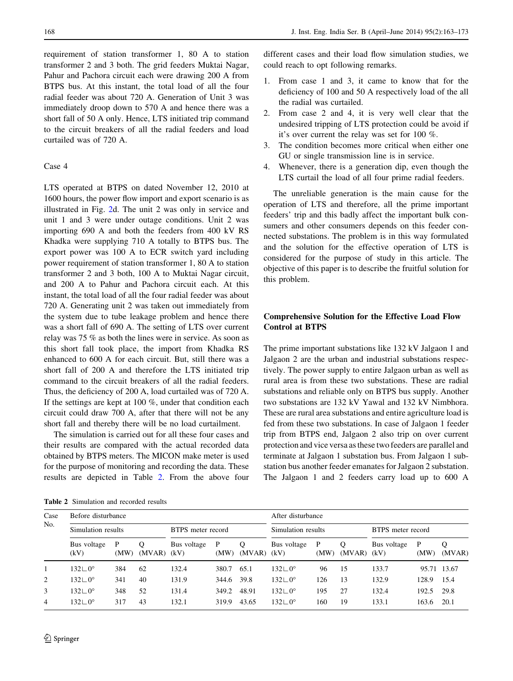requirement of station transformer 1, 80 A to station transformer 2 and 3 both. The grid feeders Muktai Nagar, Pahur and Pachora circuit each were drawing 200 A from BTPS bus. At this instant, the total load of all the four radial feeder was about 720 A. Generation of Unit 3 was immediately droop down to 570 A and hence there was a short fall of 50 A only. Hence, LTS initiated trip command to the circuit breakers of all the radial feeders and load curtailed was of 720 A.

## Case 4

LTS operated at BTPS on dated November 12, 2010 at 1600 hours, the power flow import and export scenario is as illustrated in Fig. [2](#page-4-0)d. The unit 2 was only in service and unit 1 and 3 were under outage conditions. Unit 2 was importing 690 A and both the feeders from 400 kV RS Khadka were supplying 710 A totally to BTPS bus. The export power was 100 A to ECR switch yard including power requirement of station transformer 1, 80 A to station transformer 2 and 3 both, 100 A to Muktai Nagar circuit, and 200 A to Pahur and Pachora circuit each. At this instant, the total load of all the four radial feeder was about 720 A. Generating unit 2 was taken out immediately from the system due to tube leakage problem and hence there was a short fall of 690 A. The setting of LTS over current relay was 75 % as both the lines were in service. As soon as this short fall took place, the import from Khadka RS enhanced to 600 A for each circuit. But, still there was a short fall of 200 A and therefore the LTS initiated trip command to the circuit breakers of all the radial feeders. Thus, the deficiency of 200 A, load curtailed was of 720 A. If the settings are kept at 100 %, under that condition each circuit could draw 700 A, after that there will not be any short fall and thereby there will be no load curtailment.

The simulation is carried out for all these four cases and their results are compared with the actual recorded data obtained by BTPS meters. The MICON make meter is used for the purpose of monitoring and recording the data. These results are depicted in Table 2. From the above four

Table 2 Simulation and recorded results

different cases and their load flow simulation studies, we could reach to opt following remarks.

- 1. From case 1 and 3, it came to know that for the deficiency of 100 and 50 A respectively load of the all the radial was curtailed.
- 2. From case 2 and 4, it is very well clear that the undesired tripping of LTS protection could be avoid if it's over current the relay was set for 100 %.
- 3. The condition becomes more critical when either one GU or single transmission line is in service.
- 4. Whenever, there is a generation dip, even though the LTS curtail the load of all four prime radial feeders.

The unreliable generation is the main cause for the operation of LTS and therefore, all the prime important feeders' trip and this badly affect the important bulk consumers and other consumers depends on this feeder connected substations. The problem is in this way formulated and the solution for the effective operation of LTS is considered for the purpose of study in this article. The objective of this paper is to describe the fruitful solution for this problem.

# Comprehensive Solution for the Effective Load Flow Control at BTPS

The prime important substations like 132 kV Jalgaon 1 and Jalgaon 2 are the urban and industrial substations respectively. The power supply to entire Jalgaon urban as well as rural area is from these two substations. These are radial substations and reliable only on BTPS bus supply. Another two substations are 132 kV Yawal and 132 kV Nimbhora. These are rural area substations and entire agriculture load is fed from these two substations. In case of Jalgaon 1 feeder trip from BTPS end, Jalgaon 2 also trip on over current protection and vice versa as these two feeders are parallel and terminate at Jalgaon 1 substation bus. From Jalgaon 1 substation bus another feeder emanates for Jalgaon 2 substation. The Jalgaon 1 and 2 feeders carry load up to 600 A

| Case<br>No. | Before disturbance               |           | After disturbance |                   |           |                   |                                  |           |             |                     |           |             |
|-------------|----------------------------------|-----------|-------------------|-------------------|-----------|-------------------|----------------------------------|-----------|-------------|---------------------|-----------|-------------|
|             | Simulation results               |           |                   | BTPS meter record |           |                   | Simulation results               |           |             | BTPS meter record   |           |             |
|             | Bus voltage<br>(kV)              | P<br>(MW) | $(MVAR)$ $(kV)$   | Bus voltage       | P<br>(MW) | $\circ$<br>(MVAR) | Bus voltage<br>(kV)              | P<br>(MW) | Q<br>(MVAR) | Bus voltage<br>(kV) | P<br>(MW) | Q<br>(MVAR) |
|             | $132 \sqcup 0^{\circ}$           | 384       | 62                | 132.4             | 380.7     | 65.1              | $132 \text{ } \square 0^{\circ}$ | 96        | 15          | 133.7               |           | 95.71 13.67 |
| 2           | $132 \sqcup 0^{\circ}$           | 341       | 40                | 131.9             | 344.6     | 39.8              | $132 \text{ } \cup 0^{\circ}$    | 126       | 13          | 132.9               | 128.9     | 15.4        |
| 3           | $132 \text{ } \square 0^{\circ}$ | 348       | 52                | 131.4             | 349.2     | 48.91             | $132 \text{ } \cup 0^{\circ}$    | 195       | 27          | 132.4               | 192.5     | 29.8        |
| 4           | $132 \sqcup 0^{\circ}$           | 317       | 43                | 132.1             | 319.9     | 43.65             | $132 \text{ } \square 0^{\circ}$ | 160       | 19          | 133.1               | 163.6     | 20.1        |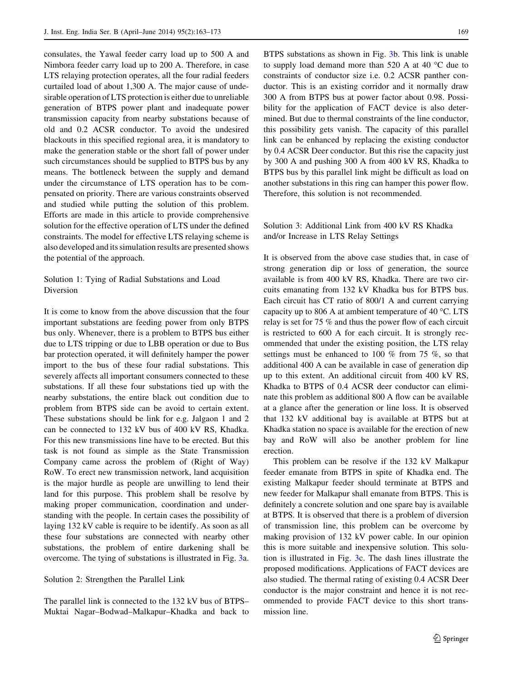consulates, the Yawal feeder carry load up to 500 A and Nimbora feeder carry load up to 200 A. Therefore, in case LTS relaying protection operates, all the four radial feeders curtailed load of about 1,300 A. The major cause of undesirable operation of LTS protection is either due to unreliable generation of BTPS power plant and inadequate power transmission capacity from nearby substations because of old and 0.2 ACSR conductor. To avoid the undesired blackouts in this specified regional area, it is mandatory to make the generation stable or the short fall of power under such circumstances should be supplied to BTPS bus by any means. The bottleneck between the supply and demand under the circumstance of LTS operation has to be compensated on priority. There are various constraints observed and studied while putting the solution of this problem. Efforts are made in this article to provide comprehensive solution for the effective operation of LTS under the defined constraints. The model for effective LTS relaying scheme is also developed and its simulation results are presented shows the potential of the approach.

# Solution 1: Tying of Radial Substations and Load Diversion

It is come to know from the above discussion that the four important substations are feeding power from only BTPS bus only. Whenever, there is a problem to BTPS bus either due to LTS tripping or due to LBB operation or due to Bus bar protection operated, it will definitely hamper the power import to the bus of these four radial substations. This severely affects all important consumers connected to these substations. If all these four substations tied up with the nearby substations, the entire black out condition due to problem from BTPS side can be avoid to certain extent. These substations should be link for e.g. Jalgaon 1 and 2 can be connected to 132 kV bus of 400 kV RS, Khadka. For this new transmissions line have to be erected. But this task is not found as simple as the State Transmission Company came across the problem of (Right of Way) RoW. To erect new transmission network, land acquisition is the major hurdle as people are unwilling to lend their land for this purpose. This problem shall be resolve by making proper communication, coordination and understanding with the people. In certain cases the possibility of laying 132 kV cable is require to be identify. As soon as all these four substations are connected with nearby other substations, the problem of entire darkening shall be overcome. The tying of substations is illustrated in Fig. [3](#page-7-0)a.

#### Solution 2: Strengthen the Parallel Link

The parallel link is connected to the 132 kV bus of BTPS– Muktai Nagar–Bodwad–Malkapur–Khadka and back to

BTPS substations as shown in Fig. [3b](#page-7-0). This link is unable to supply load demand more than 520 A at 40 °C due to constraints of conductor size i.e. 0.2 ACSR panther conductor. This is an existing corridor and it normally draw 300 A from BTPS bus at power factor about 0.98. Possibility for the application of FACT device is also determined. But due to thermal constraints of the line conductor, this possibility gets vanish. The capacity of this parallel link can be enhanced by replacing the existing conductor by 0.4 ACSR Deer conductor. But this rise the capacity just by 300 A and pushing 300 A from 400 kV RS, Khadka to BTPS bus by this parallel link might be difficult as load on another substations in this ring can hamper this power flow. Therefore, this solution is not recommended.

# Solution 3: Additional Link from 400 kV RS Khadka and/or Increase in LTS Relay Settings

It is observed from the above case studies that, in case of strong generation dip or loss of generation, the source available is from 400 kV RS, Khadka. There are two circuits emanating from 132 kV Khadka bus for BTPS bus. Each circuit has CT ratio of 800/1 A and current carrying capacity up to 806 A at ambient temperature of 40 °C. LTS relay is set for 75 % and thus the power flow of each circuit is restricted to 600 A for each circuit. It is strongly recommended that under the existing position, the LTS relay settings must be enhanced to 100 % from 75 %, so that additional 400 A can be available in case of generation dip up to this extent. An additional circuit from 400 kV RS, Khadka to BTPS of 0.4 ACSR deer conductor can eliminate this problem as additional 800 A flow can be available at a glance after the generation or line loss. It is observed that 132 kV additional bay is available at BTPS but at Khadka station no space is available for the erection of new bay and RoW will also be another problem for line erection.

This problem can be resolve if the 132 kV Malkapur feeder emanate from BTPS in spite of Khadka end. The existing Malkapur feeder should terminate at BTPS and new feeder for Malkapur shall emanate from BTPS. This is definitely a concrete solution and one spare bay is available at BTPS. It is observed that there is a problem of diversion of transmission line, this problem can be overcome by making provision of 132 kV power cable. In our opinion this is more suitable and inexpensive solution. This solution is illustrated in Fig. [3](#page-7-0)c. The dash lines illustrate the proposed modifications. Applications of FACT devices are also studied. The thermal rating of existing 0.4 ACSR Deer conductor is the major constraint and hence it is not recommended to provide FACT device to this short transmission line.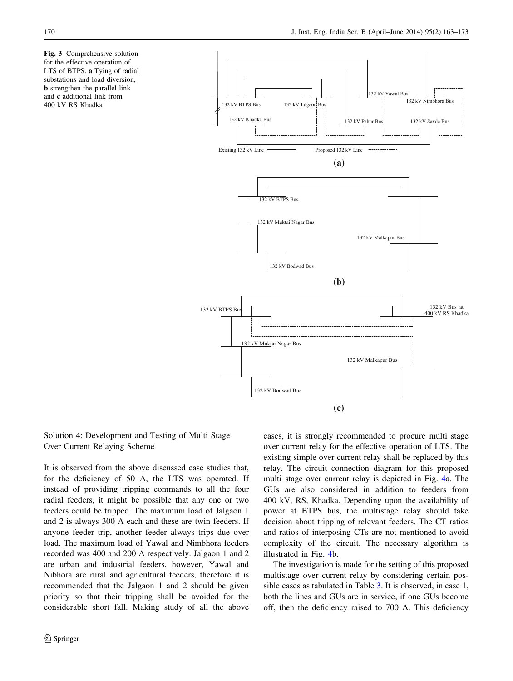<span id="page-7-0"></span>Fig. 3 Comprehensive solution for the effective operation of LTS of BTPS. a Tying of radial substations and load diversion, b strengthen the parallel link and c additional link from 400 kV RS Khadka



# Solution 4: Development and Testing of Multi Stage Over Current Relaying Scheme

It is observed from the above discussed case studies that, for the deficiency of 50 A, the LTS was operated. If instead of providing tripping commands to all the four radial feeders, it might be possible that any one or two feeders could be tripped. The maximum load of Jalgaon 1 and 2 is always 300 A each and these are twin feeders. If anyone feeder trip, another feeder always trips due over load. The maximum load of Yawal and Nimbhora feeders recorded was 400 and 200 A respectively. Jalgaon 1 and 2 are urban and industrial feeders, however, Yawal and Nibhora are rural and agricultural feeders, therefore it is recommended that the Jalgaon 1 and 2 should be given priority so that their tripping shall be avoided for the considerable short fall. Making study of all the above cases, it is strongly recommended to procure multi stage over current relay for the effective operation of LTS. The existing simple over current relay shall be replaced by this relay. The circuit connection diagram for this proposed multi stage over current relay is depicted in Fig. [4a](#page-8-0). The GUs are also considered in addition to feeders from 400 kV, RS, Khadka. Depending upon the availability of power at BTPS bus, the multistage relay should take decision about tripping of relevant feeders. The CT ratios and ratios of interposing CTs are not mentioned to avoid complexity of the circuit. The necessary algorithm is illustrated in Fig. [4b](#page-8-0).

The investigation is made for the setting of this proposed multistage over current relay by considering certain possible cases as tabulated in Table [3](#page-8-0). It is observed, in case 1, both the lines and GUs are in service, if one GUs become off, then the deficiency raised to 700 A. This deficiency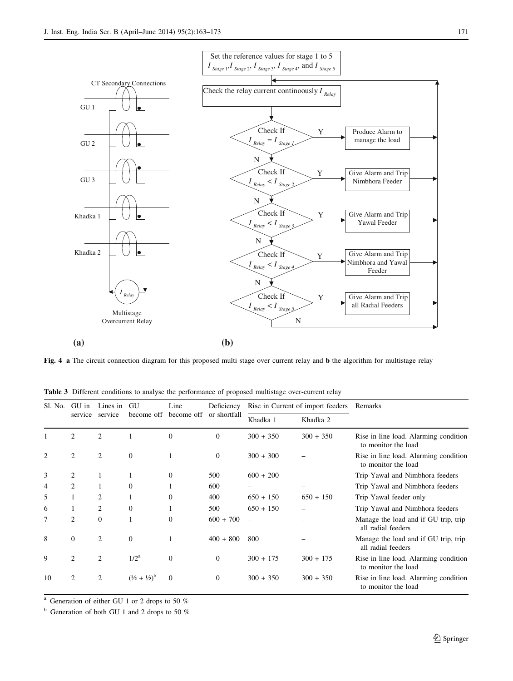<span id="page-8-0"></span>

Fig. 4 a The circuit connection diagram for this proposed multi stage over current relay and b the algorithm for multistage relay

|  |  | Table 3 Different conditions to analyse the performance of proposed multistage over-current relay              |  |  |  |  |  |  |
|--|--|----------------------------------------------------------------------------------------------------------------|--|--|--|--|--|--|
|  |  | rando a construction and a construction of the construction of the construction of the construction of the con |  |  |  |  |  |  |

| Sl. No. | GU in          | Lines in     | GU                              | Line                               | Deficiency     |                          | Rise in Current of import feeders | Remarks                                                      |  |  |
|---------|----------------|--------------|---------------------------------|------------------------------------|----------------|--------------------------|-----------------------------------|--------------------------------------------------------------|--|--|
|         | service        | service      |                                 | become off become off or shortfall |                | Khadka 1                 | Khadka 2                          |                                                              |  |  |
|         | 2              | 2            |                                 | $\boldsymbol{0}$                   | $\mathbf{0}$   | $300 + 350$              | $300 + 350$                       | Rise in line load. Alarming condition<br>to monitor the load |  |  |
|         | 2              | 2            | $\overline{0}$                  |                                    | $\overline{0}$ | $300 + 300$              |                                   | Rise in line load. Alarming condition<br>to monitor the load |  |  |
| 3       | 2              |              | 1                               | $\Omega$                           | 500            | $600 + 200$              |                                   | Trip Yawal and Nimbhora feeders                              |  |  |
| 4       | $\overline{c}$ |              | $\Omega$                        |                                    | 600            |                          |                                   | Trip Yawal and Nimbhora feeders                              |  |  |
| 5       |                | 2            |                                 | $\mathbf{0}$                       | 400            | $650 + 150$              | $650 + 150$                       | Trip Yawal feeder only                                       |  |  |
| 6       | $\mathbf{I}$   | 2            | $\overline{0}$                  |                                    | 500            | $650 + 150$              |                                   | Trip Yawal and Nimbhora feeders                              |  |  |
|         | 2              | $\mathbf{0}$ |                                 | $\mathbf{0}$                       | $600 + 700$    | $\overline{\phantom{0}}$ |                                   | Manage the load and if GU trip, trip<br>all radial feeders   |  |  |
| 8       | $\overline{0}$ | 2            | $\overline{0}$                  |                                    | $400 + 800$    | 800                      |                                   | Manage the load and if GU trip, trip<br>all radial feeders   |  |  |
| 9       | 2              | 2            | 1/2 <sup>a</sup>                | $\mathbf{0}$                       | $\Omega$       | $300 + 175$              | $300 + 175$                       | Rise in line load. Alarming condition<br>to monitor the load |  |  |
| 10      | $\overline{c}$ | 2            | $(\frac{1}{2} + \frac{1}{2})^b$ | $\theta$                           | $\Omega$       | $300 + 350$              | $300 + 350$                       | Rise in line load. Alarming condition<br>to monitor the load |  |  |

<sup>a</sup> Generation of either GU 1 or 2 drops to 50 %

 $b$  Generation of both GU 1 and 2 drops to 50 %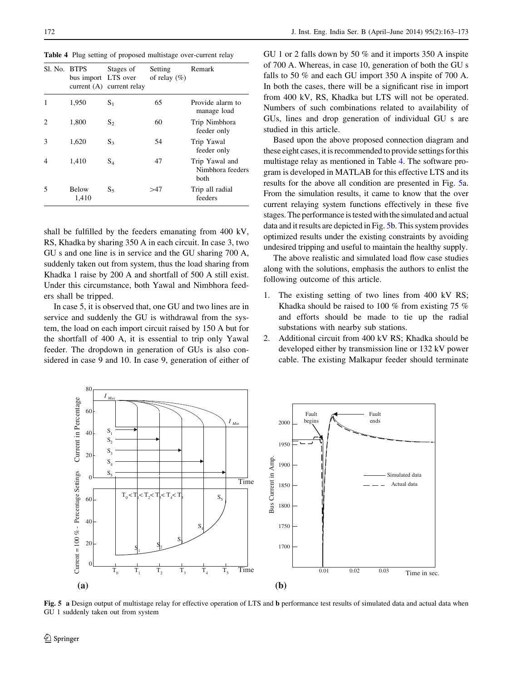Table 4 Plug setting of proposed multistage over-current relay

| Sl. No. BTPS | bus import LTS over   | Stages of<br>current $(A)$ current relay | Setting<br>of relay $(\%)$ | Remark                                     |
|--------------|-----------------------|------------------------------------------|----------------------------|--------------------------------------------|
|              | 1,950                 | $S_1$                                    | 65                         | Provide alarm to<br>manage load            |
| 2            | 1,800                 | $S_2$                                    | 60                         | Trip Nimbhora<br>feeder only               |
| 3            | 1.620                 | $S_3$                                    | 54                         | Trip Yawal<br>feeder only                  |
| 4            | 1,410                 | $S_4$                                    | 47                         | Trip Yawal and<br>Nimbhora feeders<br>both |
| 5            | <b>Below</b><br>1,410 | $S_5$                                    | >47                        | Trip all radial<br>feeders                 |

shall be fulfilled by the feeders emanating from 400 kV, RS, Khadka by sharing 350 A in each circuit. In case 3, two GU s and one line is in service and the GU sharing 700 A, suddenly taken out from system, thus the load sharing from Khadka 1 raise by 200 A and shortfall of 500 A still exist. Under this circumstance, both Yawal and Nimbhora feeders shall be tripped.

In case 5, it is observed that, one GU and two lines are in service and suddenly the GU is withdrawal from the system, the load on each import circuit raised by 150 A but for the shortfall of 400 A, it is essential to trip only Yawal feeder. The dropdown in generation of GUs is also considered in case 9 and 10. In case 9, generation of either of GU 1 or 2 falls down by 50 % and it imports 350 A inspite of 700 A. Whereas, in case 10, generation of both the GU s falls to 50 % and each GU import 350 A inspite of 700 A. In both the cases, there will be a significant rise in import from 400 kV, RS, Khadka but LTS will not be operated. Numbers of such combinations related to availability of GUs, lines and drop generation of individual GU s are studied in this article.

Based upon the above proposed connection diagram and these eight cases, it is recommended to provide settings forthis multistage relay as mentioned in Table 4. The software program is developed in MATLAB for this effective LTS and its results for the above all condition are presented in Fig. 5a. From the simulation results, it came to know that the over current relaying system functions effectively in these five stages. The performance is tested with the simulated and actual data and it results are depicted in Fig. 5b. This system provides optimized results under the existing constraints by avoiding undesired tripping and useful to maintain the healthy supply.

The above realistic and simulated load flow case studies along with the solutions, emphasis the authors to enlist the following outcome of this article.

- 1. The existing setting of two lines from 400 kV RS; Khadka should be raised to 100 % from existing 75 % and efforts should be made to tie up the radial substations with nearby sub stations.
- 2. Additional circuit from 400 kV RS; Khadka should be developed either by transmission line or 132 kV power cable. The existing Malkapur feeder should terminate



Fig. 5 a Design output of multistage relay for effective operation of LTS and b performance test results of simulated data and actual data when GU 1 suddenly taken out from system